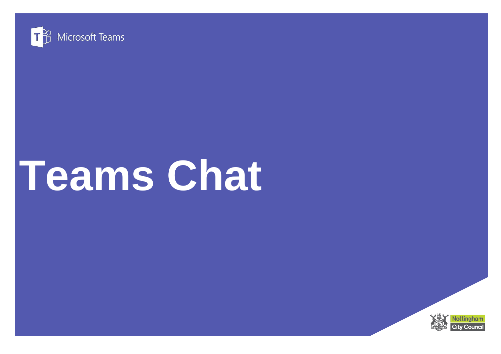

# **Teams Chat**

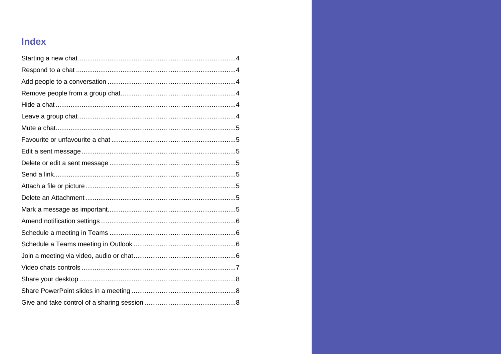## **Index**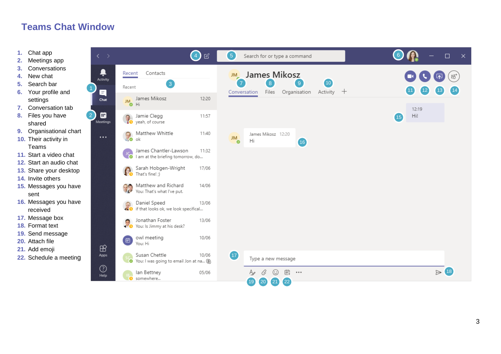## **Teams Chat Window**

- **1.** Chat app
- **2.** Meetings app
- **3.** Conversations
- **4.** New chat
- **5.** Search bar
- **6.** Your profile and settings
- **7.** Conversation tab
- **8.** Files you have shared
- **9.** Organisational chart
- **10.** Their activity in Teams
- **11.** Start a video chat
- **12.** Start an audio chat
- **13.** Share your desktop
- **14.** Invite others
- **15.** Messages you have sent
- **16.** Messages you have received
- **17.** Message box
- **18.** Format text
- **19.** Send message
- **20.** Attach file
- **21.** Add emoji
- **22.** Schedule a meetin g

| $\langle \quad \rangle$             | $\mathcal{C}$<br>$\bullet$                                                   | 6<br>Search for or type a command                                                                                       | $\Box$<br>$\mathbf{\times}$          |
|-------------------------------------|------------------------------------------------------------------------------|-------------------------------------------------------------------------------------------------------------------------|--------------------------------------|
| Ļ<br>Activity                       | Contacts<br>Recent                                                           | James Mikosz<br><b>JM</b>                                                                                               | ξů,                                  |
| E                                   | $\left(3\right)$<br>Recent                                                   | $\left  8 \right $<br>$\overline{9}$<br>(10)<br>$\overline{7}$<br>Activity $+$<br>Files<br>Organisation<br>Conversation | $12 \overline{)}$<br>13 <sub>1</sub> |
| Chat                                | James Mikosz<br>12:20<br><b>JM</b><br>$\bullet$ Hi                           |                                                                                                                         | 12:19                                |
| $\boxed{2}$<br>₩<br><b>Meetings</b> | Jamie Clegg<br>11:57<br>yeah, of course                                      |                                                                                                                         | Hi!<br>$\overline{15}$               |
| $\cdots$                            | Matthew Whittle<br>11:40<br><b>P</b><br>ok                                   | James Mikosz 12:20<br><b>JM</b><br>Hi<br>(16)                                                                           |                                      |
|                                     | James Chantler-Lawson<br>11:32<br><b>C</b> I am at the briefing tomorrow, do |                                                                                                                         |                                      |
|                                     | Sarah Hobgen-Wright<br>17/06<br>That's fine! ;)                              |                                                                                                                         |                                      |
|                                     | Matthew and Richard<br>14/06<br>地<br>You: That's what I've put.              |                                                                                                                         |                                      |
|                                     | Daniel Speed<br>13/06<br><b>END</b><br>if that looks ok, we look specifical  |                                                                                                                         |                                      |
|                                     | Jonathan Foster<br>13/06<br>Jonathan Foster<br>You: Is Jimmy at his desk?    |                                                                                                                         |                                      |
| $\mathbb B$                         | owl meeting<br>10/06<br>画<br>You: Hi                                         |                                                                                                                         |                                      |
| Apps                                | Susan Chettle<br>10/06<br>You: I was going to email Jon at na (S)            | $\sqrt{17}$<br>Type a new message                                                                                       |                                      |
| $_{\odot}$<br>Help                  | lan Bettney<br>05/06<br>somewhere                                            | 曲<br>O<br>☺<br>$\cdots$<br>Aø                                                                                           | $\triangleright$ (18)                |
|                                     |                                                                              | $\left( 22\right)$<br>$\boxed{19}$<br>$\left( 20\right)$<br>$\left( 21 \right)$                                         |                                      |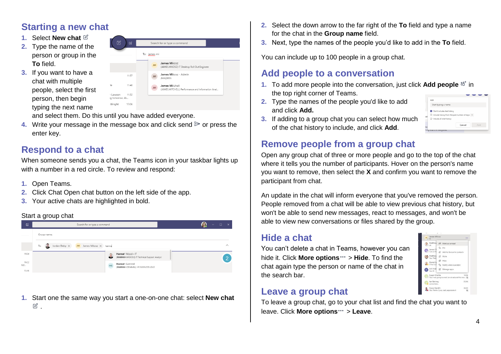## <span id="page-3-0"></span>**Starting a new chat**

- **1.** Select **New chat**
- **2.** Type the name of the person or group in the **To** field.
- **3.** If you want to have a chat with multiple people, select the first person, then begin typing the next name

| B<br>Ø                         | Search for or type a command                                                     |  |
|--------------------------------|----------------------------------------------------------------------------------|--|
|                                | To: james mi                                                                     |  |
|                                | James Mikosz<br><b>JM</b><br>(JAMES.MIKOSZ) IT Desktop Roll Out Engineer         |  |
| 11:57                          | James Mikosz - Admin<br>JM<br><b>JMADMIN</b>                                     |  |
| 11:40                          | James Mitchell<br><b>JM</b><br>(JAMES.MITCHELL) Performance and Information Anal |  |
| 11:32<br>awson<br>tomorrow, do |                                                                                  |  |
| right<br>17/06                 |                                                                                  |  |

and select them. Do this until you have added everyone.

**4.** Write your message in the message box and click send  $\triangleright$  or press the enter key.

## <span id="page-3-1"></span>**Respond to a chat**

When someone sends you a chat, the Teams icon in your taskbar lights up with a number in a red circle. To review and respond:

- **1.** Open Teams.
- **2.** Click Chat Open chat button on the left side of the app.
- **3.** Your active chats are highlighted in bold.

#### Start a group chat



**1.** Start one the same way you start a one-on-one chat: select **New chat** .

- **2.** Select the down arrow to the far right of the **To** field and type a name for the chat in the **Group name** field.
- **3.** Next, type the names of the people you'd like to add in the **To** field.

You can include up to 100 people in a group chat.

## <span id="page-3-2"></span>**Add people to a conversation**

- **1.** To add more people into the conversation, just click **Add people**  $e^{i\theta}$  in the top right corner of Teams.
- **2.** Type the names of the people you'd like to add and click **Add.**

|     | Add                                               |
|-----|---------------------------------------------------|
|     | Start typing a name                               |
|     | Don't include chat history                        |
|     |                                                   |
|     | O Include history from the past number of days: 1 |
| ssi | O Include all chat history                        |

**3.** If adding to a group chat you can select how much of the chat history to include, and click **Add**.

## <span id="page-3-3"></span>**Remove people from a group chat**

Open any group chat of three or more people and go to the top of the chat where it tells you the number of participants. Hover on the person's name you want to remove, then select the **X** and confirm you want to remove the participant from chat.

An update in the chat will inform everyone that you've removed the person. People removed from a chat will be able to view previous chat history, but won't be able to send new messages, react to messages, and won't be able to view new conversations or files shared by the group.

## <span id="page-3-4"></span>**Hide a chat**

You can't delete a chat in Teams, however you can hide it. Click **More options**  $\cdots$  > **Hide**. To find the chat again type the person or name of the chat in the search bar.

#### <span id="page-3-5"></span>**Leave a group chat**

To leave a group chat, go to your chat list and find the chat you want to leave. Click **More options**  $\cdot\cdot$  > Leave.

4

 $\bigcap$ 

lan Bettney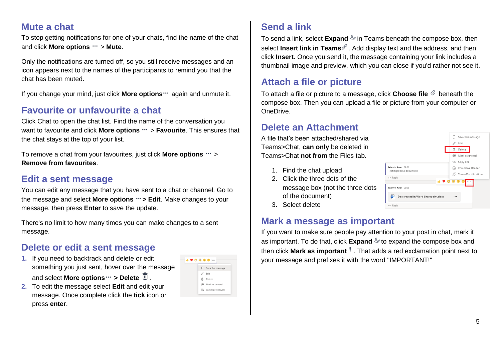## <span id="page-4-0"></span>**Mute a chat**

To stop getting notifications for one of your chats, find the name of the chat and click **More options**  $\cdots$  > **Mute**.

Only the notifications are turned off, so you still receive messages and an icon appears next to the names of the participants to remind you that the chat has been muted.

If you change your mind, just click **More options** "again and unmute it.

## <span id="page-4-1"></span>**Favourite or unfavourite a chat**

Click Chat to open the chat list. Find the name of the conversation you want to favourite and click **More options** " > **Favourite**. This ensures that the chat stays at the top of your list.

To remove a chat from your favourites, just click **More options**  $\cdots$  > **Remove from favourites**.

## <span id="page-4-2"></span>**Edit a sent message**

You can edit any message that you have sent to a chat or channel. Go to the message and select **More options**  $\cdots$  **> Edit**. Make changes to your message, then press **Enter** to save the update.

There's no limit to how many times you can make changes to a sent message.

## <span id="page-4-3"></span>**Delete or edit a sent message**

**1.** If you need to backtrack and delete or edit something you just sent, hover over the message and select **More options ···** > Delete  $\overline{10}$ .

|   | Save this message          |
|---|----------------------------|
| 0 | Edit                       |
|   | <b>自</b> Delete            |
|   | 66 Mark as unread          |
|   | <b>EG</b> Immersive Reader |

**2.** To edit the message select **Edit** and edit your message. Once complete click the **tick** icon or press **enter**.

<span id="page-4-4"></span>

To send a link, select **Expand**  $\Phi$  in Teams beneath the compose box, then select **Insert link in Teams**  $\mathscr{P}$ . Add display text and the address, and then click **Insert**. Once you send it, the message containing your link includes a thumbnail image and preview, which you can close if you'd rather not see it.

## <span id="page-4-5"></span>**Attach a file or picture**

To attach a file or picture to a message, click **Choose file**  $\&$  beneath the compose box. Then you can upload a file or picture from your computer or OneDrive.

#### <span id="page-4-6"></span>**Delete an Attachment**

A file that's been attached/shared via Teams>Chat, **can only** be deleted in Teams>Chat **not from** the Files tab.

- 1. Find the chat upload
- 2. Click the three dots of the message box (not the three dots of the document)
- 3. Select delete

#### <span id="page-4-7"></span>**Mark a message as important**

If you want to make sure people pay attention to your post in chat, mark it as important. To do that, click **Expand**  $\Delta$  to expand the compose box and then click Mark as important<sup>!</sup>. That adds a red exclamation point next to your message and prefixes it with the word "IMPORTANT!"

|                                              | Save this message<br>IJ |
|----------------------------------------------|-------------------------|
|                                              | 0<br>Edit               |
|                                              | 而<br>Delete             |
|                                              | 66 Mark as unread       |
|                                              | © Copy link             |
| Manvir Kaur 09:07<br>Test: upload a document | 囁<br>Immersive Reader   |
|                                              | Turn off notifications  |
| $\leftarrow$ Reply                           | <b>88</b><br>医          |
| Manvir Kaur 09:08                            |                         |
| Doc created in Word Sharepoint.docx<br>w     |                         |
| $\leftarrow$ Reply                           |                         |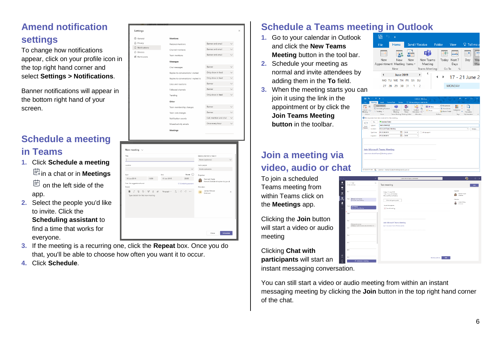# <span id="page-5-0"></span>**Amend notification settings**

To change how notifications appear, click on your profile icon in the top right hand corner and select **Settings > Notifications**.

Banner notifications will appear in the bottom right hand of your screen.

## <span id="page-5-1"></span>**Schedule a meeting in Teams**

- **1.** Click **Schedule a meeting** in a chat or in **Meetings □** on the left side of the app.
- **2.** Select the people you'd like to invite. Click the **Scheduling assistant** to find a time that works for everyone.
- **3.** If the meeting is a recurring one, click the **Repeat** box. Once you do that, you'll be able to choose how often you want it to occur.
- **4.** Click **Schedule**.



| Title                             |                                                                                   |             |                        | Select a channel to meet in                        |          |
|-----------------------------------|-----------------------------------------------------------------------------------|-------------|------------------------|----------------------------------------------------|----------|
|                                   |                                                                                   |             |                        | None (optional)                                    |          |
| Location                          |                                                                                   |             |                        | Invite people                                      |          |
|                                   |                                                                                   |             |                        | Invite someone                                     |          |
| Start                             |                                                                                   | End         | Repeat O               | Organiser                                          |          |
| 19 Jun 2019                       | 19:30                                                                             | 19 Jun 2019 | 20:00                  | Hannah Slade<br>Hannah.Slade@nottinghamcity.gov.uk |          |
| Free: No suggestions found        |                                                                                   |             | ® Scheduling assistant |                                                    |          |
| Details                           |                                                                                   |             |                        | Attendees                                          |          |
|                                   | <b>B</b> $I \cup S$   $\forall$ A A Pangraph $\vee$ $I_x$   $\in$ $\div$ $\cdots$ |             |                        | James Mikosz<br><b>JM</b><br>Linknown              | $\times$ |
| Type details for this new meeting |                                                                                   |             |                        |                                                    |          |
|                                   |                                                                                   |             |                        |                                                    |          |

## <span id="page-5-2"></span>**Schedule a Teams meeting in Outlook**

- **1.** Go to your calendar in Outlook and click the **New Teams Meeting** button in the tool bar.
- **2.** Schedule your meeting as normal and invite attendees by adding them in the **To** field.
- **3.** When the meeting starts you can join it using the link in the appointment or by click the **Join Teams Meeting button** in the toolbar.

# <span id="page-5-3"></span>**Join a meeting via video, audio or chat**

To join a scheduled Teams meeting from within Teams click on the **Meetings** app.

Clicking the **Join** button will start a video or audio meeting

Clicking **Chat with participants** will start an instant messaging conversation.





| $\boxminus$<br>$\epsilon$<br>File             | ٠<br>Meeting      | Ш<br>- 2<br>Format Text<br>Insert                                                                                                | Review                                                       |                              | Untitled Meeting<br>Q Tell me what you want to do               |                              |                                                                          | $\overline{1}$                      | $\Box$                                 | $\times$            |
|-----------------------------------------------|-------------------|----------------------------------------------------------------------------------------------------------------------------------|--------------------------------------------------------------|------------------------------|-----------------------------------------------------------------|------------------------------|--------------------------------------------------------------------------|-------------------------------------|----------------------------------------|---------------------|
| 丽<br>Cancel<br>$\theta$<br>Meeting<br>Actions |                   | Appointment<br>Scheduling Assistant<br>16 Tracking -<br>Show<br>No responses have been received for this meeting.                | जैने<br>Join Teams<br>Meeting<br>Teams Meeting Meeting Notes | N<br>Meeting<br>Notes        | 63<br>$\mathcal{G}_\Phi$<br>Contact<br>Attendees -<br>Attendees | $\overline{22}$ Bosy<br>None | <b>C</b> Recurrence<br><sup>6</sup> Time Zones<br>Room Finder<br>Ostians | m<br>Categorize<br>$\Delta$<br>Tecn | ٠<br>View<br>Templates<br>My Templates | $\hat{\phantom{a}}$ |
|                                               | To <sub>r</sub> . | <b>B</b> Jonathan Foster                                                                                                         |                                                              |                              |                                                                 |                              |                                                                          |                                     |                                        |                     |
| G<br>Send                                     | Subject           | <b>Teams Meeting</b>                                                                                                             |                                                              |                              |                                                                 |                              |                                                                          |                                     |                                        |                     |
| Update                                        | Location          | <b>Microsoft Trams Meeting</b>                                                                                                   |                                                              |                              |                                                                 |                              |                                                                          |                                     | ٠                                      | Rooms               |
|                                               | Start time        | Fm 21/06/2019                                                                                                                    | 19                                                           | 15:30                        | ٠                                                               | All day event                |                                                                          |                                     |                                        |                     |
|                                               | End time          | Fm 21/06/2019                                                                                                                    | la.                                                          | 16:00                        | $\sim$                                                          |                              |                                                                          |                                     |                                        |                     |
| In Shared Folder                              | 55%               | <b>Join Microsoft Teams Meeting</b><br>Learn more about Teams   Meeting options<br>Calendar - Hannah Slade@nottinghamcity.cov.uk |                                                              |                              |                                                                 |                              |                                                                          |                                     |                                        |                     |
|                                               |                   |                                                                                                                                  |                                                              |                              |                                                                 |                              |                                                                          |                                     |                                        |                     |
|                                               | ż                 |                                                                                                                                  |                                                              | Search for or type a command |                                                                 |                              |                                                                          |                                     | A)                                     | $\blacksquare$      |

|                                                                             | Search for or type a command                                                |                         | A)<br>$\square$ x                                  |
|-----------------------------------------------------------------------------|-----------------------------------------------------------------------------|-------------------------|----------------------------------------------------|
| $\langle \ \rangle$ Today<br>量<br>All day wants (2)                         | Test meeting                                                                |                         | <b>Join</b>                                        |
| Regis<br><b>Engagement musting</b><br>$10$ <sub>c</sub> an                  | Friday, 21 June 2019<br>11:05-11:35 (30 minutes)<br>Microsoft Teams Meeting |                         | Drawiner<br>Hannah Slade<br>Organiser<br>Attendant |
| Morceoft learne Meeting<br>11em<br>let nems<br>Mouselt Trans Meeting        | Chat with participants<br>You are the organized<br>X Cancel meeting         |                         | Joedan Biety<br>٠<br>43<br>Unknown                 |
| 12pm                                                                        |                                                                             |                         |                                                    |
| 1pm<br>Mensep User group<br>Meadous Youth & Community Centre NG2 207<br>7pw | Join Microsoft Teams Meeting<br>Loan more about Toams   Meeting options     |                         |                                                    |
| Spre.                                                                       |                                                                             |                         |                                                    |
| April                                                                       |                                                                             |                         |                                                    |
| Sprn                                                                        |                                                                             |                         |                                                    |
| ton<br>E Schedule a meeting                                                 |                                                                             | Mosting options<br>Edit |                                                    |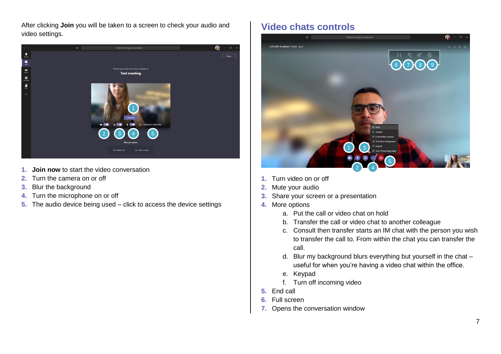After clicking **Join** you will be taken to a screen to check your audio and video settings.



- **1. Join now** to start the video conversation
- **2.** Turn the camera on or off
- **3.** Blur the background
- **4.** Turn the microphone on or off
- **5.** The audio device being used click to access the device settings

## <span id="page-6-0"></span>**Video chats controls**



- **1.** Turn video on or off
- **2.** Mute your audio
- **3.** Share your screen or a presentation
- **4.** More options
	- a. Put the call or video chat on hold
	- b. Transfer the call or video chat to another colleague
	- c. Consult then transfer starts an IM chat with the person you wish to transfer the call to. From within the chat you can transfer the call.
	- d. Blur my background blurs everything but yourself in the chat useful for when you're having a video chat within the office.
	- e. Keypad
	- f. Turn off incoming video
- **5.** End call
- **6.** Full screen
- **7.** Opens the conversation window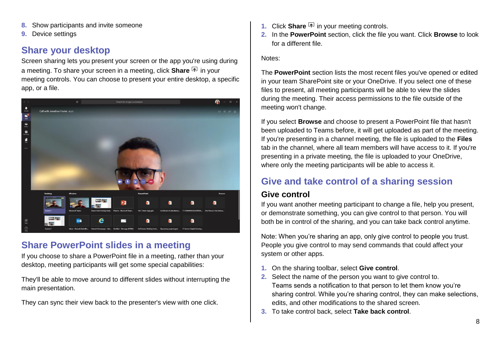- **8.** Show participants and invite someone
- **9.** Device settings

## <span id="page-7-0"></span>**Share your desktop**

Screen sharing lets you present your screen or the app you're using during a meeting. To share your screen in a meeting, click **Share** in your meeting controls. You can choose to present your entire desktop, a specific app, or a file.



## <span id="page-7-1"></span>**Share PowerPoint slides in a meeting**

If you choose to share a PowerPoint file in a meeting, rather than your desktop, meeting participants will get some special capabilities:

They'll be able to move around to different slides without interrupting the main presentation.

They can sync their view back to the presenter's view with one click.

- **1.** Click **Share**  $\boxed{\Phi}$  in your meeting controls.
- **2.** In the **PowerPoint** section, click the file you want. Click **Browse** to look for a different file.

#### Notes:

The **PowerPoint** section lists the most recent files you've opened or edited in your team SharePoint site or your OneDrive. If you select one of these files to present, all meeting participants will be able to view the slides during the meeting. Their access permissions to the file outside of the meeting won't change.

If you select **Browse** and choose to present a PowerPoint file that hasn't been uploaded to Teams before, it will get uploaded as part of the meeting. If you're presenting in a channel meeting, the file is uploaded to the **Files** tab in the channel, where all team members will have access to it. If you're presenting in a private meeting, the file is uploaded to your OneDrive, where only the meeting participants will be able to access it.

## <span id="page-7-2"></span>**Give and take control of a sharing session**

#### **Give control**

If you want another meeting participant to change a file, help you present, or demonstrate something, you can give control to that person. You will both be in control of the sharing, and you can take back control anytime.

Note: When you're sharing an app, only give control to people you trust. People you give control to may send commands that could affect your system or other apps.

- **1.** On the sharing toolbar, select **Give control**.
- **2.** Select the name of the person you want to give control to. Teams sends a notification to that person to let them know you're sharing control. While you're sharing control, they can make selections, edits, and other modifications to the shared screen.
- **3.** To take control back, select **Take back control**.